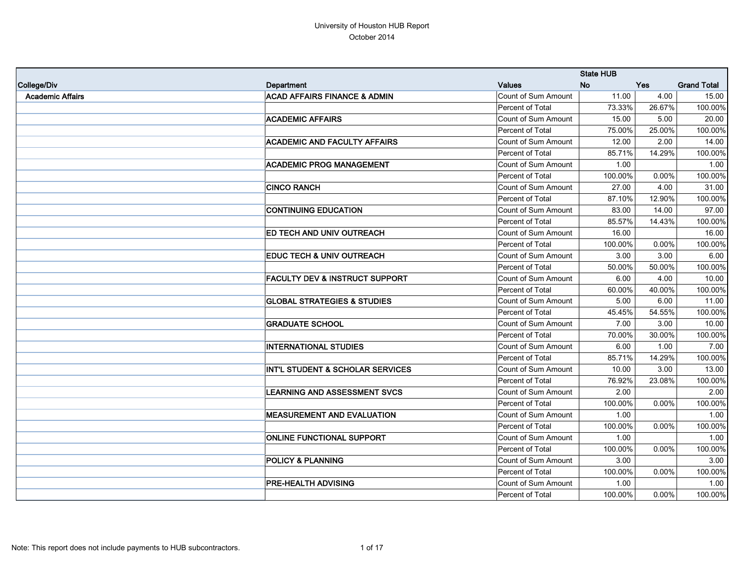|                         |                                           |                     | <b>State HUB</b> |          |                    |
|-------------------------|-------------------------------------------|---------------------|------------------|----------|--------------------|
| College/Div             | <b>Department</b>                         | <b>Values</b>       | <b>No</b>        | Yes      | <b>Grand Total</b> |
| <b>Academic Affairs</b> | <b>ACAD AFFAIRS FINANCE &amp; ADMIN</b>   | Count of Sum Amount | 11.00            | 4.00     | 15.00              |
|                         |                                           | Percent of Total    | 73.33%           | 26.67%   | 100.00%            |
|                         | <b>ACADEMIC AFFAIRS</b>                   | Count of Sum Amount | 15.00            | 5.00     | 20.00              |
|                         |                                           | Percent of Total    | 75.00%           | 25.00%   | 100.00%            |
|                         | <b>ACADEMIC AND FACULTY AFFAIRS</b>       | Count of Sum Amount | 12.00            | 2.00     | 14.00              |
|                         |                                           | Percent of Total    | 85.71%           | 14.29%   | 100.00%            |
|                         | <b>ACADEMIC PROG MANAGEMENT</b>           | Count of Sum Amount | 1.00             |          | 1.00               |
|                         |                                           | Percent of Total    | 100.00%          | 0.00%    | 100.00%            |
|                         | <b>CINCO RANCH</b>                        | Count of Sum Amount | 27.00            | 4.00     | 31.00              |
|                         |                                           | Percent of Total    | 87.10%           | 12.90%   | 100.00%            |
|                         | <b>CONTINUING EDUCATION</b>               | Count of Sum Amount | 83.00            | 14.00    | 97.00              |
|                         |                                           | Percent of Total    | 85.57%           | 14.43%   | 100.00%            |
|                         | ED TECH AND UNIV OUTREACH                 | Count of Sum Amount | 16.00            |          | 16.00              |
|                         |                                           | Percent of Total    | 100.00%          | 0.00%    | 100.00%            |
|                         | <b>EDUC TECH &amp; UNIV OUTREACH</b>      | Count of Sum Amount | 3.00             | 3.00     | 6.00               |
|                         |                                           | Percent of Total    | 50.00%           | 50.00%   | 100.00%            |
|                         | <b>FACULTY DEV &amp; INSTRUCT SUPPORT</b> | Count of Sum Amount | 6.00             | 4.00     | 10.00              |
|                         |                                           | Percent of Total    | 60.00%           | 40.00%   | 100.00%            |
|                         | <b>GLOBAL STRATEGIES &amp; STUDIES</b>    | Count of Sum Amount | 5.00             | 6.00     | 11.00              |
|                         |                                           | Percent of Total    | 45.45%           | 54.55%   | 100.00%            |
|                         | <b>GRADUATE SCHOOL</b>                    | Count of Sum Amount | 7.00             | 3.00     | 10.00              |
|                         |                                           | Percent of Total    | 70.00%           | 30.00%   | 100.00%            |
|                         | <b>INTERNATIONAL STUDIES</b>              | Count of Sum Amount | 6.00             | 1.00     | 7.00               |
|                         |                                           | Percent of Total    | 85.71%           | 14.29%   | 100.00%            |
|                         | INT'L STUDENT & SCHOLAR SERVICES          | Count of Sum Amount | 10.00            | 3.00     | 13.00              |
|                         |                                           | Percent of Total    | 76.92%           | 23.08%   | 100.00%            |
|                         | <b>LEARNING AND ASSESSMENT SVCS</b>       | Count of Sum Amount | 2.00             |          | 2.00               |
|                         |                                           | Percent of Total    | 100.00%          | 0.00%    | 100.00%            |
|                         | <b>MEASUREMENT AND EVALUATION</b>         | Count of Sum Amount | 1.00             |          | 1.00               |
|                         |                                           | Percent of Total    | 100.00%          | $0.00\%$ | 100.00%            |
|                         | <b>ONLINE FUNCTIONAL SUPPORT</b>          | Count of Sum Amount | 1.00             |          | 1.00               |
|                         |                                           | Percent of Total    | 100.00%          | $0.00\%$ | 100.00%            |
|                         | <b>POLICY &amp; PLANNING</b>              | Count of Sum Amount | 3.00             |          | 3.00               |
|                         |                                           | Percent of Total    | 100.00%          | $0.00\%$ | 100.00%            |
|                         | PRE-HEALTH ADVISING                       | Count of Sum Amount | 1.00             |          | 1.00               |
|                         |                                           | Percent of Total    | 100.00%          | $0.00\%$ | 100.00%            |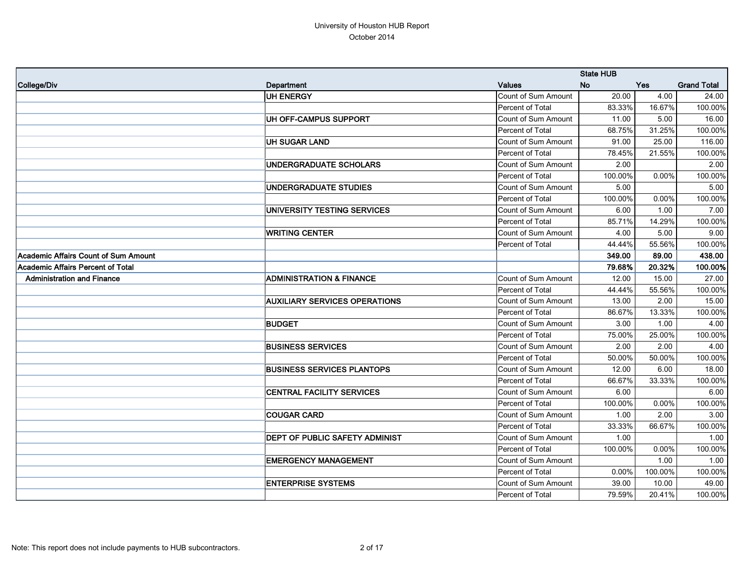|                                      |                                       |                            | <b>State HUB</b> |            |                    |
|--------------------------------------|---------------------------------------|----------------------------|------------------|------------|--------------------|
| College/Div                          | Department                            | <b>Values</b>              | <b>No</b>        | <b>Yes</b> | <b>Grand Total</b> |
|                                      | <b>UH ENERGY</b>                      | Count of Sum Amount        | 20.00            | 4.00       | 24.00              |
|                                      |                                       | Percent of Total           | 83.33%           | 16.67%     | 100.00%            |
|                                      | UH OFF-CAMPUS SUPPORT                 | <b>Count of Sum Amount</b> | 11.00            | 5.00       | 16.00              |
|                                      |                                       | Percent of Total           | 68.75%           | 31.25%     | 100.00%            |
|                                      | <b>UH SUGAR LAND</b>                  | Count of Sum Amount        | 91.00            | 25.00      | 116.00             |
|                                      |                                       | Percent of Total           | 78.45%           | 21.55%     | 100.00%            |
|                                      | <b>UNDERGRADUATE SCHOLARS</b>         | <b>Count of Sum Amount</b> | 2.00             |            | 2.00               |
|                                      |                                       | Percent of Total           | 100.00%          | 0.00%      | 100.00%            |
|                                      | <b>UNDERGRADUATE STUDIES</b>          | <b>Count of Sum Amount</b> | 5.00             |            | 5.00               |
|                                      |                                       | Percent of Total           | 100.00%          | 0.00%      | 100.00%            |
|                                      | UNIVERSITY TESTING SERVICES           | Count of Sum Amount        | 6.00             | 1.00       | 7.00               |
|                                      |                                       | Percent of Total           | 85.71%           | 14.29%     | 100.00%            |
|                                      | <b>WRITING CENTER</b>                 | <b>Count of Sum Amount</b> | 4.00             | 5.00       | 9.00               |
|                                      |                                       | Percent of Total           | 44.44%           | 55.56%     | 100.00%            |
| Academic Affairs Count of Sum Amount |                                       |                            | 349.00           | 89.00      | 438.00             |
| Academic Affairs Percent of Total    |                                       |                            | 79.68%           | 20.32%     | 100.00%            |
| <b>Administration and Finance</b>    | <b>ADMINISTRATION &amp; FINANCE</b>   | Count of Sum Amount        | 12.00            | 15.00      | 27.00              |
|                                      |                                       | Percent of Total           | 44.44%           | 55.56%     | 100.00%            |
|                                      | <b>AUXILIARY SERVICES OPERATIONS</b>  | Count of Sum Amount        | 13.00            | 2.00       | 15.00              |
|                                      |                                       | Percent of Total           | 86.67%           | 13.33%     | 100.00%            |
|                                      | <b>BUDGET</b>                         | Count of Sum Amount        | 3.00             | 1.00       | 4.00               |
|                                      |                                       | Percent of Total           | 75.00%           | 25.00%     | 100.00%            |
|                                      | <b>BUSINESS SERVICES</b>              | Count of Sum Amount        | 2.00             | 2.00       | 4.00               |
|                                      |                                       | Percent of Total           | 50.00%           | 50.00%     | 100.00%            |
|                                      | <b>BUSINESS SERVICES PLANTOPS</b>     | Count of Sum Amount        | 12.00            | 6.00       | 18.00              |
|                                      |                                       | Percent of Total           | 66.67%           | 33.33%     | 100.00%            |
|                                      | <b>CENTRAL FACILITY SERVICES</b>      | Count of Sum Amount        | 6.00             |            | 6.00               |
|                                      |                                       | Percent of Total           | 100.00%          | 0.00%      | 100.00%            |
|                                      | <b>COUGAR CARD</b>                    | Count of Sum Amount        | 1.00             | 2.00       | 3.00               |
|                                      |                                       | Percent of Total           | 33.33%           | 66.67%     | 100.00%            |
|                                      | <b>DEPT OF PUBLIC SAFETY ADMINIST</b> | Count of Sum Amount        | 1.00             |            | 1.00               |
|                                      |                                       | Percent of Total           | 100.00%          | 0.00%      | 100.00%            |
|                                      | <b>EMERGENCY MANAGEMENT</b>           | Count of Sum Amount        |                  | 1.00       | 1.00               |
|                                      |                                       | Percent of Total           | $0.00\%$         | 100.00%    | 100.00%            |
|                                      | <b>ENTERPRISE SYSTEMS</b>             | Count of Sum Amount        | 39.00            | 10.00      | 49.00              |
|                                      |                                       | Percent of Total           | 79.59%           | 20.41%     | 100.00%            |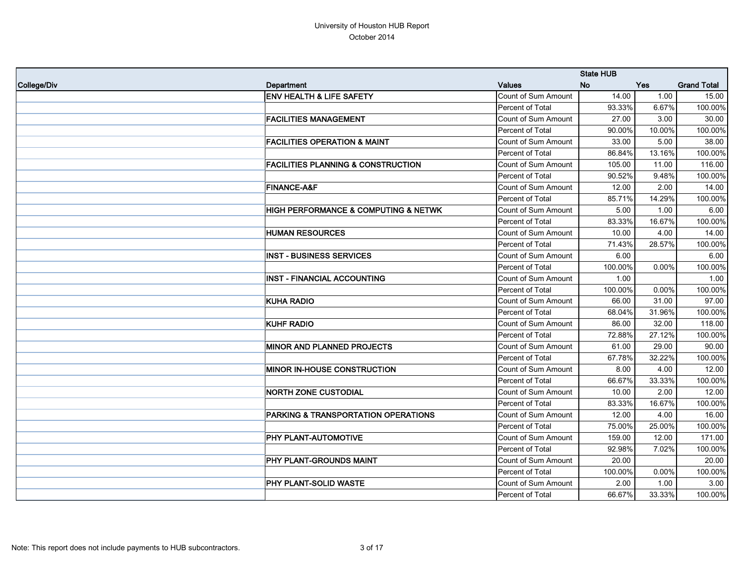|             |                                                |                         | <b>State HUB</b> |        |                    |
|-------------|------------------------------------------------|-------------------------|------------------|--------|--------------------|
| College/Div | Department                                     | <b>Values</b>           | <b>No</b>        | Yes    | <b>Grand Total</b> |
|             | <b>ENV HEALTH &amp; LIFE SAFETY</b>            | Count of Sum Amount     | 14.00            | 1.00   | 15.00              |
|             |                                                | Percent of Total        | 93.33%           | 6.67%  | 100.00%            |
|             | <b>FACILITIES MANAGEMENT</b>                   | Count of Sum Amount     | 27.00            | 3.00   | 30.00              |
|             |                                                | Percent of Total        | 90.00%           | 10.00% | 100.00%            |
|             | <b>FACILITIES OPERATION &amp; MAINT</b>        | Count of Sum Amount     | 33.00            | 5.00   | 38.00              |
|             |                                                | <b>Percent of Total</b> | 86.84%           | 13.16% | 100.00%            |
|             | <b>FACILITIES PLANNING &amp; CONSTRUCTION</b>  | Count of Sum Amount     | 105.00           | 11.00  | 116.00             |
|             |                                                | Percent of Total        | 90.52%           | 9.48%  | 100.00%            |
|             | <b>FINANCE-A&amp;F</b>                         | Count of Sum Amount     | 12.00            | 2.00   | 14.00              |
|             |                                                | Percent of Total        | 85.71%           | 14.29% | 100.00%            |
|             | HIGH PERFORMANCE & COMPUTING & NETWK           | Count of Sum Amount     | 5.00             | 1.00   | 6.00               |
|             |                                                | Percent of Total        | 83.33%           | 16.67% | 100.00%            |
|             | <b>HUMAN RESOURCES</b>                         | Count of Sum Amount     | 10.00            | 4.00   | 14.00              |
|             |                                                | Percent of Total        | 71.43%           | 28.57% | 100.00%            |
|             | <b>INST - BUSINESS SERVICES</b>                | Count of Sum Amount     | 6.00             |        | 6.00               |
|             |                                                | Percent of Total        | 100.00%          | 0.00%  | 100.00%            |
|             | <b>INST - FINANCIAL ACCOUNTING</b>             | Count of Sum Amount     | 1.00             |        | 1.00               |
|             |                                                | Percent of Total        | 100.00%          | 0.00%  | 100.00%            |
|             | <b>KUHA RADIO</b>                              | Count of Sum Amount     | 66.00            | 31.00  | 97.00              |
|             |                                                | Percent of Total        | 68.04%           | 31.96% | 100.00%            |
|             | <b>KUHF RADIO</b>                              | Count of Sum Amount     | 86.00            | 32.00  | 118.00             |
|             |                                                | Percent of Total        | 72.88%           | 27.12% | 100.00%            |
|             | <b>MINOR AND PLANNED PROJECTS</b>              | Count of Sum Amount     | 61.00            | 29.00  | 90.00              |
|             |                                                | Percent of Total        | 67.78%           | 32.22% | 100.00%            |
|             | <b>MINOR IN-HOUSE CONSTRUCTION</b>             | Count of Sum Amount     | 8.00             | 4.00   | 12.00              |
|             |                                                | Percent of Total        | 66.67%           | 33.33% | 100.00%            |
|             | <b>NORTH ZONE CUSTODIAL</b>                    | Count of Sum Amount     | 10.00            | 2.00   | 12.00              |
|             |                                                | Percent of Total        | 83.33%           | 16.67% | 100.00%            |
|             | <b>PARKING &amp; TRANSPORTATION OPERATIONS</b> | Count of Sum Amount     | 12.00            | 4.00   | 16.00              |
|             |                                                | Percent of Total        | 75.00%           | 25.00% | 100.00%            |
|             | PHY PLANT-AUTOMOTIVE                           | Count of Sum Amount     | 159.00           | 12.00  | 171.00             |
|             |                                                | Percent of Total        | 92.98%           | 7.02%  | 100.00%            |
|             | PHY PLANT-GROUNDS MAINT                        | Count of Sum Amount     | 20.00            |        | 20.00              |
|             |                                                | Percent of Total        | 100.00%          | 0.00%  | 100.00%            |
|             | PHY PLANT-SOLID WASTE                          | Count of Sum Amount     | 2.00             | 1.00   | 3.00               |
|             |                                                | Percent of Total        | 66.67%           | 33.33% | 100.00%            |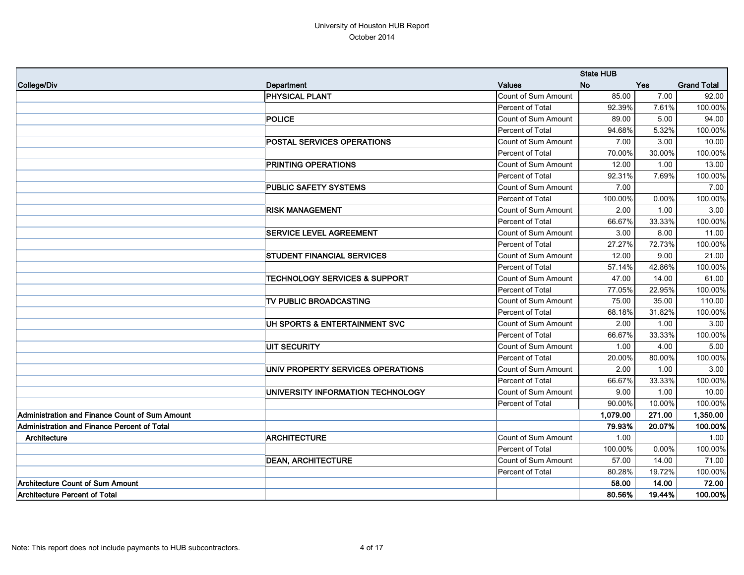|                                                |                                          |                     | <b>State HUB</b> |        |                    |
|------------------------------------------------|------------------------------------------|---------------------|------------------|--------|--------------------|
| College/Div                                    | <b>Department</b>                        | <b>Values</b>       | <b>No</b>        | Yes    | <b>Grand Total</b> |
|                                                | <b>PHYSICAL PLANT</b>                    | Count of Sum Amount | 85.00            | 7.00   | 92.00              |
|                                                |                                          | Percent of Total    | 92.39%           | 7.61%  | 100.00%            |
|                                                | <b>POLICE</b>                            | Count of Sum Amount | 89.00            | 5.00   | 94.00              |
|                                                |                                          | Percent of Total    | 94.68%           | 5.32%  | 100.00%            |
|                                                | POSTAL SERVICES OPERATIONS               | Count of Sum Amount | 7.00             | 3.00   | 10.00              |
|                                                |                                          | Percent of Total    | 70.00%           | 30.00% | 100.00%            |
|                                                | PRINTING OPERATIONS                      | Count of Sum Amount | 12.00            | 1.00   | 13.00              |
|                                                |                                          | Percent of Total    | 92.31%           | 7.69%  | 100.00%            |
|                                                | PUBLIC SAFETY SYSTEMS                    | Count of Sum Amount | 7.00             |        | 7.00               |
|                                                |                                          | Percent of Total    | 100.00%          | 0.00%  | 100.00%            |
|                                                | <b>RISK MANAGEMENT</b>                   | Count of Sum Amount | 2.00             | 1.00   | 3.00               |
|                                                |                                          | Percent of Total    | 66.67%           | 33.33% | 100.00%            |
|                                                | <b>SERVICE LEVEL AGREEMENT</b>           | Count of Sum Amount | 3.00             | 8.00   | 11.00              |
|                                                |                                          | Percent of Total    | 27.27%           | 72.73% | 100.00%            |
|                                                | <b>STUDENT FINANCIAL SERVICES</b>        | Count of Sum Amount | 12.00            | 9.00   | 21.00              |
|                                                |                                          | Percent of Total    | 57.14%           | 42.86% | 100.00%            |
|                                                | <b>TECHNOLOGY SERVICES &amp; SUPPORT</b> | Count of Sum Amount | 47.00            | 14.00  | 61.00              |
|                                                |                                          | Percent of Total    | 77.05%           | 22.95% | 100.00%            |
|                                                | TV PUBLIC BROADCASTING                   | Count of Sum Amount | 75.00            | 35.00  | 110.00             |
|                                                |                                          | Percent of Total    | 68.18%           | 31.82% | 100.00%            |
|                                                | UH SPORTS & ENTERTAINMENT SVC            | Count of Sum Amount | 2.00             | 1.00   | 3.00               |
|                                                |                                          | Percent of Total    | 66.67%           | 33.33% | 100.00%            |
|                                                | <b>UIT SECURITY</b>                      | Count of Sum Amount | 1.00             | 4.00   | 5.00               |
|                                                |                                          | Percent of Total    | 20.00%           | 80.00% | 100.00%            |
|                                                | UNIV PROPERTY SERVICES OPERATIONS        | Count of Sum Amount | 2.00             | 1.00   | 3.00               |
|                                                |                                          | Percent of Total    | 66.67%           | 33.33% | 100.00%            |
|                                                | UNIVERSITY INFORMATION TECHNOLOGY        | Count of Sum Amount | 9.00             | 1.00   | 10.00              |
|                                                |                                          | Percent of Total    | 90.00%           | 10.00% | 100.00%            |
| Administration and Finance Count of Sum Amount |                                          |                     | 1,079.00         | 271.00 | 1,350.00           |
| Administration and Finance Percent of Total    |                                          |                     | 79.93%           | 20.07% | 100.00%            |
| Architecture                                   | <b>ARCHITECTURE</b>                      | Count of Sum Amount | 1.00             |        | 1.00               |
|                                                |                                          | Percent of Total    | 100.00%          | 0.00%  | 100.00%            |
|                                                | <b>DEAN, ARCHITECTURE</b>                | Count of Sum Amount | 57.00            | 14.00  | 71.00              |
|                                                |                                          | Percent of Total    | 80.28%           | 19.72% | 100.00%            |
| Architecture Count of Sum Amount               |                                          |                     | 58.00            | 14.00  | 72.00              |
| <b>Architecture Percent of Total</b>           |                                          |                     | 80.56%           | 19.44% | 100.00%            |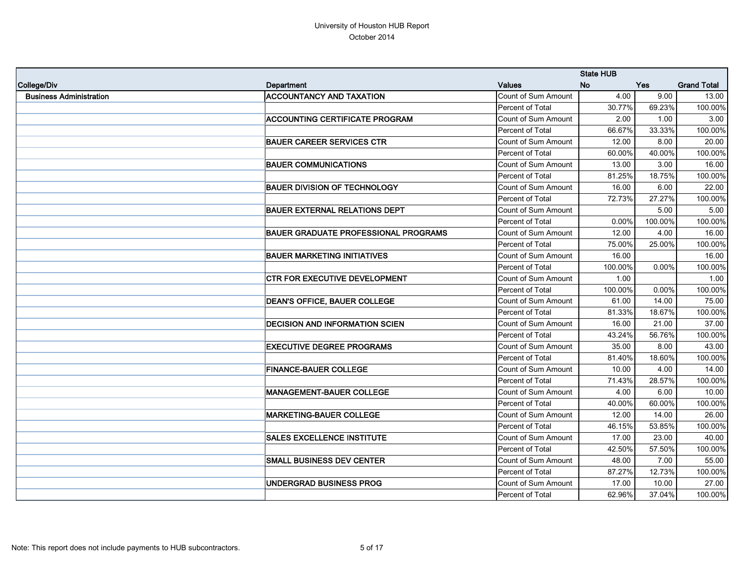|                                |                                             |                            | <b>State HUB</b> |         |                    |
|--------------------------------|---------------------------------------------|----------------------------|------------------|---------|--------------------|
| College/Div                    | Department                                  | <b>Values</b>              | <b>No</b>        | Yes     | <b>Grand Total</b> |
| <b>Business Administration</b> | <b>ACCOUNTANCY AND TAXATION</b>             | Count of Sum Amount        | 4.00             | 9.00    | 13.00              |
|                                |                                             | Percent of Total           | 30.77%           | 69.23%  | 100.00%            |
|                                | <b>ACCOUNTING CERTIFICATE PROGRAM</b>       | <b>Count of Sum Amount</b> | 2.00             | 1.00    | 3.00               |
|                                |                                             | Percent of Total           | 66.67%           | 33.33%  | 100.00%            |
|                                | <b>BAUER CAREER SERVICES CTR</b>            | Count of Sum Amount        | 12.00            | 8.00    | 20.00              |
|                                |                                             | Percent of Total           | 60.00%           | 40.00%  | 100.00%            |
|                                | <b>BAUER COMMUNICATIONS</b>                 | Count of Sum Amount        | 13.00            | 3.00    | 16.00              |
|                                |                                             | Percent of Total           | 81.25%           | 18.75%  | 100.00%            |
|                                | <b>BAUER DIVISION OF TECHNOLOGY</b>         | Count of Sum Amount        | 16.00            | 6.00    | 22.00              |
|                                |                                             | Percent of Total           | 72.73%           | 27.27%  | 100.00%            |
|                                | <b>BAUER EXTERNAL RELATIONS DEPT</b>        | Count of Sum Amount        |                  | 5.00    | 5.00               |
|                                |                                             | Percent of Total           | 0.00%            | 100.00% | 100.00%            |
|                                | <b>BAUER GRADUATE PROFESSIONAL PROGRAMS</b> | Count of Sum Amount        | 12.00            | 4.00    | 16.00              |
|                                |                                             | Percent of Total           | 75.00%           | 25.00%  | 100.00%            |
|                                | <b>BAUER MARKETING INITIATIVES</b>          | Count of Sum Amount        | 16.00            |         | 16.00              |
|                                |                                             | Percent of Total           | 100.00%          | 0.00%   | 100.00%            |
|                                | CTR FOR EXECUTIVE DEVELOPMENT               | Count of Sum Amount        | 1.00             |         | 1.00               |
|                                |                                             | Percent of Total           | 100.00%          | 0.00%   | 100.00%            |
|                                | <b>DEAN'S OFFICE, BAUER COLLEGE</b>         | Count of Sum Amount        | 61.00            | 14.00   | 75.00              |
|                                |                                             | Percent of Total           | 81.33%           | 18.67%  | 100.00%            |
|                                | <b>DECISION AND INFORMATION SCIEN</b>       | Count of Sum Amount        | 16.00            | 21.00   | 37.00              |
|                                |                                             | Percent of Total           | 43.24%           | 56.76%  | 100.00%            |
|                                | <b>EXECUTIVE DEGREE PROGRAMS</b>            | Count of Sum Amount        | 35.00            | 8.00    | 43.00              |
|                                |                                             | Percent of Total           | 81.40%           | 18.60%  | 100.00%            |
|                                | <b>FINANCE-BAUER COLLEGE</b>                | Count of Sum Amount        | 10.00            | 4.00    | 14.00              |
|                                |                                             | Percent of Total           | 71.43%           | 28.57%  | 100.00%            |
|                                | <b>MANAGEMENT-BAUER COLLEGE</b>             | Count of Sum Amount        | 4.00             | 6.00    | 10.00              |
|                                |                                             | Percent of Total           | 40.00%           | 60.00%  | 100.00%            |
|                                | <b>MARKETING-BAUER COLLEGE</b>              | Count of Sum Amount        | 12.00            | 14.00   | 26.00              |
|                                |                                             | Percent of Total           | 46.15%           | 53.85%  | 100.00%            |
|                                | <b>SALES EXCELLENCE INSTITUTE</b>           | Count of Sum Amount        | 17.00            | 23.00   | 40.00              |
|                                |                                             | Percent of Total           | 42.50%           | 57.50%  | 100.00%            |
|                                | <b>SMALL BUSINESS DEV CENTER</b>            | Count of Sum Amount        | 48.00            | 7.00    | 55.00              |
|                                |                                             | Percent of Total           | 87.27%           | 12.73%  | 100.00%            |
|                                | UNDERGRAD BUSINESS PROG                     | Count of Sum Amount        | 17.00            | 10.00   | 27.00              |
|                                |                                             | Percent of Total           | 62.96%           | 37.04%  | 100.00%            |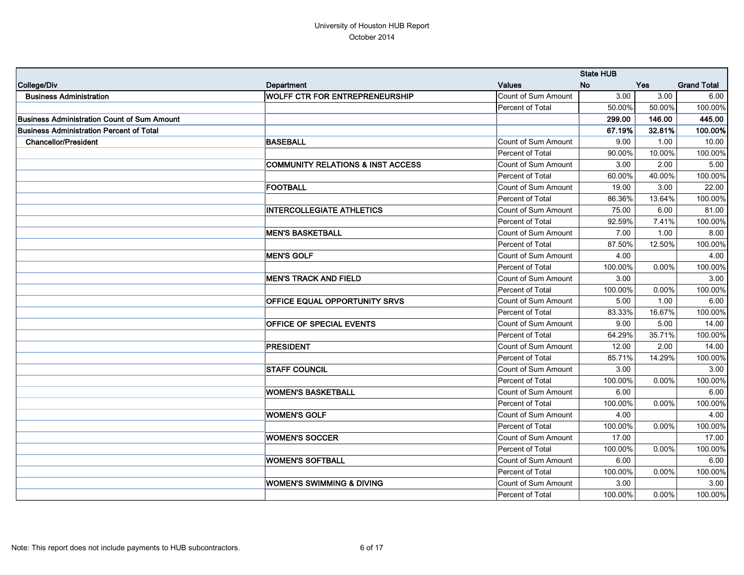|                                                    |                                              |                            | <b>State HUB</b> |            |                    |
|----------------------------------------------------|----------------------------------------------|----------------------------|------------------|------------|--------------------|
| College/Div                                        | Department                                   | <b>Values</b>              | <b>No</b>        | <b>Yes</b> | <b>Grand Total</b> |
| <b>Business Administration</b>                     | <b>WOLFF CTR FOR ENTREPRENEURSHIP</b>        | <b>Count of Sum Amount</b> | 3.00             | 3.00       | 6.00               |
|                                                    |                                              | Percent of Total           | 50.00%           | 50.00%     | 100.00%            |
| <b>Business Administration Count of Sum Amount</b> |                                              |                            | 299.00           | 146.00     | 445.00             |
| <b>Business Administration Percent of Total</b>    |                                              |                            | 67.19%           | 32.81%     | 100.00%            |
| <b>Chancellor/President</b>                        | <b>BASEBALL</b>                              | Count of Sum Amount        | 9.00             | 1.00       | 10.00              |
|                                                    |                                              | Percent of Total           | 90.00%           | 10.00%     | 100.00%            |
|                                                    | <b>COMMUNITY RELATIONS &amp; INST ACCESS</b> | Count of Sum Amount        | 3.00             | 2.00       | 5.00               |
|                                                    |                                              | Percent of Total           | 60.00%           | 40.00%     | 100.00%            |
|                                                    | <b>FOOTBALL</b>                              | Count of Sum Amount        | 19.00            | 3.00       | 22.00              |
|                                                    |                                              | Percent of Total           | 86.36%           | 13.64%     | 100.00%            |
|                                                    | <b>INTERCOLLEGIATE ATHLETICS</b>             | Count of Sum Amount        | 75.00            | 6.00       | 81.00              |
|                                                    |                                              | Percent of Total           | 92.59%           | 7.41%      | 100.00%            |
|                                                    | <b>MEN'S BASKETBALL</b>                      | Count of Sum Amount        | 7.00             | 1.00       | 8.00               |
|                                                    |                                              | Percent of Total           | 87.50%           | 12.50%     | 100.00%            |
|                                                    | <b>MEN'S GOLF</b>                            | Count of Sum Amount        | 4.00             |            | 4.00               |
|                                                    |                                              | Percent of Total           | 100.00%          | 0.00%      | 100.00%            |
|                                                    | <b>MEN'S TRACK AND FIELD</b>                 | Count of Sum Amount        | 3.00             |            | 3.00               |
|                                                    |                                              | Percent of Total           | 100.00%          | 0.00%      | 100.00%            |
|                                                    | <b>OFFICE EQUAL OPPORTUNITY SRVS</b>         | Count of Sum Amount        | 5.00             | 1.00       | 6.00               |
|                                                    |                                              | Percent of Total           | 83.33%           | 16.67%     | 100.00%            |
|                                                    | <b>OFFICE OF SPECIAL EVENTS</b>              | Count of Sum Amount        | 9.00             | 5.00       | 14.00              |
|                                                    |                                              | Percent of Total           | 64.29%           | 35.71%     | 100.00%            |
|                                                    | <b>PRESIDENT</b>                             | Count of Sum Amount        | 12.00            | 2.00       | 14.00              |
|                                                    |                                              | Percent of Total           | 85.71%           | 14.29%     | 100.00%            |
|                                                    | <b>STAFF COUNCIL</b>                         | Count of Sum Amount        | 3.00             |            | 3.00               |
|                                                    |                                              | Percent of Total           | 100.00%          | 0.00%      | 100.00%            |
|                                                    | <b>WOMEN'S BASKETBALL</b>                    | Count of Sum Amount        | 6.00             |            | 6.00               |
|                                                    |                                              | Percent of Total           | 100.00%          | 0.00%      | 100.00%            |
|                                                    | <b>WOMEN'S GOLF</b>                          | Count of Sum Amount        | 4.00             |            | 4.00               |
|                                                    |                                              | Percent of Total           | 100.00%          | $0.00\%$   | 100.00%            |
|                                                    | <b>WOMEN'S SOCCER</b>                        | Count of Sum Amount        | 17.00            |            | 17.00              |
|                                                    |                                              | Percent of Total           | 100.00%          | 0.00%      | 100.00%            |
|                                                    | <b>WOMEN'S SOFTBALL</b>                      | Count of Sum Amount        | 6.00             |            | 6.00               |
|                                                    |                                              | Percent of Total           | 100.00%          | $0.00\%$   | 100.00%            |
|                                                    | <b>WOMEN'S SWIMMING &amp; DIVING</b>         | Count of Sum Amount        | 3.00             |            | 3.00               |
|                                                    |                                              | Percent of Total           | 100.00%          | $0.00\%$   | 100.00%            |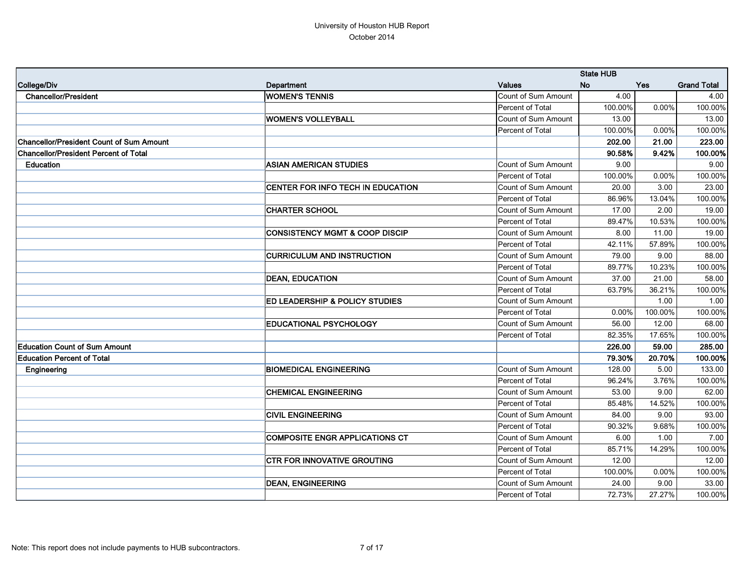|                                                 |                                           |                     | <b>State HUB</b> |            |                    |
|-------------------------------------------------|-------------------------------------------|---------------------|------------------|------------|--------------------|
| College/Div                                     | Department                                | <b>Values</b>       | <b>No</b>        | <b>Yes</b> | <b>Grand Total</b> |
| <b>Chancellor/President</b>                     | <b>WOMEN'S TENNIS</b>                     | Count of Sum Amount | 4.00             |            | 4.00               |
|                                                 |                                           | Percent of Total    | 100.00%          | 0.00%      | 100.00%            |
|                                                 | <b>WOMEN'S VOLLEYBALL</b>                 | Count of Sum Amount | 13.00            |            | 13.00              |
|                                                 |                                           | Percent of Total    | 100.00%          | 0.00%      | 100.00%            |
| <b>Chancellor/President Count of Sum Amount</b> |                                           |                     | 202.00           | 21.00      | 223.00             |
| Chancellor/President Percent of Total           |                                           |                     | 90.58%           | 9.42%      | 100.00%            |
| <b>Education</b>                                | <b>ASIAN AMERICAN STUDIES</b>             | Count of Sum Amount | 9.00             |            | 9.00               |
|                                                 |                                           | Percent of Total    | 100.00%          | 0.00%      | 100.00%            |
|                                                 | CENTER FOR INFO TECH IN EDUCATION         | Count of Sum Amount | 20.00            | 3.00       | 23.00              |
|                                                 |                                           | Percent of Total    | 86.96%           | 13.04%     | 100.00%            |
|                                                 | <b>CHARTER SCHOOL</b>                     | Count of Sum Amount | 17.00            | 2.00       | 19.00              |
|                                                 |                                           | Percent of Total    | 89.47%           | 10.53%     | 100.00%            |
|                                                 | <b>CONSISTENCY MGMT &amp; COOP DISCIP</b> | Count of Sum Amount | 8.00             | 11.00      | 19.00              |
|                                                 |                                           | Percent of Total    | 42.11%           | 57.89%     | 100.00%            |
|                                                 | <b>CURRICULUM AND INSTRUCTION</b>         | Count of Sum Amount | 79.00            | 9.00       | 88.00              |
|                                                 |                                           | Percent of Total    | 89.77%           | 10.23%     | 100.00%            |
|                                                 | <b>DEAN, EDUCATION</b>                    | Count of Sum Amount | 37.00            | 21.00      | 58.00              |
|                                                 |                                           | Percent of Total    | 63.79%           | 36.21%     | 100.00%            |
|                                                 | ED LEADERSHIP & POLICY STUDIES            | Count of Sum Amount |                  | 1.00       | 1.00               |
|                                                 |                                           | Percent of Total    | 0.00%            | 100.00%    | 100.00%            |
|                                                 | <b>EDUCATIONAL PSYCHOLOGY</b>             | Count of Sum Amount | 56.00            | 12.00      | 68.00              |
|                                                 |                                           | Percent of Total    | 82.35%           | 17.65%     | 100.00%            |
| <b>Education Count of Sum Amount</b>            |                                           |                     | 226.00           | 59.00      | 285.00             |
| <b>Education Percent of Total</b>               |                                           |                     | 79.30%           | 20.70%     | 100.00%            |
| Engineering                                     | <b>BIOMEDICAL ENGINEERING</b>             | Count of Sum Amount | 128.00           | 5.00       | 133.00             |
|                                                 |                                           | Percent of Total    | 96.24%           | 3.76%      | 100.00%            |
|                                                 | <b>CHEMICAL ENGINEERING</b>               | Count of Sum Amount | 53.00            | 9.00       | 62.00              |
|                                                 |                                           | Percent of Total    | 85.48%           | 14.52%     | 100.00%            |
|                                                 | <b>CIVIL ENGINEERING</b>                  | Count of Sum Amount | 84.00            | 9.00       | 93.00              |
|                                                 |                                           | Percent of Total    | 90.32%           | 9.68%      | 100.00%            |
|                                                 | <b>COMPOSITE ENGR APPLICATIONS CT</b>     | Count of Sum Amount | 6.00             | 1.00       | 7.00               |
|                                                 |                                           | Percent of Total    | 85.71%           | 14.29%     | 100.00%            |
|                                                 | <b>CTR FOR INNOVATIVE GROUTING</b>        | Count of Sum Amount | 12.00            |            | 12.00              |
|                                                 |                                           | Percent of Total    | 100.00%          | $0.00\%$   | 100.00%            |
|                                                 | <b>DEAN, ENGINEERING</b>                  | Count of Sum Amount | 24.00            | 9.00       | 33.00              |
|                                                 |                                           | Percent of Total    | 72.73%           | 27.27%     | 100.00%            |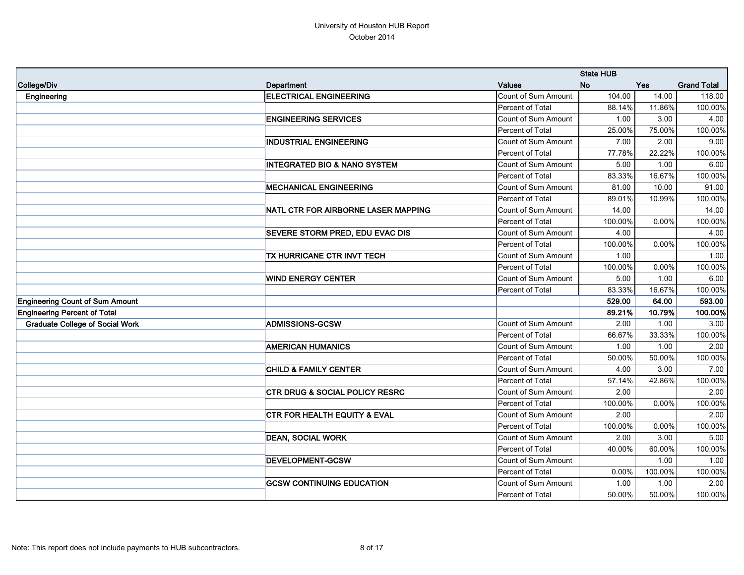|                                        |                                           |                            | <b>State HUB</b> |            |                    |
|----------------------------------------|-------------------------------------------|----------------------------|------------------|------------|--------------------|
| College/Div                            | Department                                | <b>Values</b>              | <b>No</b>        | <b>Yes</b> | <b>Grand Total</b> |
| Engineering                            | <b>ELECTRICAL ENGINEERING</b>             | Count of Sum Amount        | 104.00           | 14.00      | 118.00             |
|                                        |                                           | Percent of Total           | 88.14%           | 11.86%     | 100.00%            |
|                                        | <b>ENGINEERING SERVICES</b>               | Count of Sum Amount        | 1.00             | 3.00       | 4.00               |
|                                        |                                           | Percent of Total           | 25.00%           | 75.00%     | 100.00%            |
|                                        | <b>INDUSTRIAL ENGINEERING</b>             | Count of Sum Amount        | 7.00             | 2.00       | 9.00               |
|                                        |                                           | Percent of Total           | 77.78%           | 22.22%     | 100.00%            |
|                                        | <b>INTEGRATED BIO &amp; NANO SYSTEM</b>   | Count of Sum Amount        | 5.00             | 1.00       | 6.00               |
|                                        |                                           | Percent of Total           | 83.33%           | 16.67%     | 100.00%            |
|                                        | <b>MECHANICAL ENGINEERING</b>             | Count of Sum Amount        | 81.00            | 10.00      | 91.00              |
|                                        |                                           | Percent of Total           | 89.01%           | 10.99%     | 100.00%            |
|                                        | NATL CTR FOR AIRBORNE LASER MAPPING       | <b>Count of Sum Amount</b> | 14.00            |            | 14.00              |
|                                        |                                           | Percent of Total           | 100.00%          | 0.00%      | 100.00%            |
|                                        | SEVERE STORM PRED, EDU EVAC DIS           | Count of Sum Amount        | 4.00             |            | 4.00               |
|                                        |                                           | Percent of Total           | 100.00%          | 0.00%      | 100.00%            |
|                                        | TX HURRICANE CTR INVT TECH                | <b>Count of Sum Amount</b> | 1.00             |            | 1.00               |
|                                        |                                           | Percent of Total           | 100.00%          | 0.00%      | 100.00%            |
|                                        | <b>WIND ENERGY CENTER</b>                 | <b>Count of Sum Amount</b> | 5.00             | 1.00       | 6.00               |
|                                        |                                           | Percent of Total           | 83.33%           | 16.67%     | 100.00%            |
| <b>Engineering Count of Sum Amount</b> |                                           |                            | 529.00           | 64.00      | 593.00             |
| <b>Engineering Percent of Total</b>    |                                           |                            | 89.21%           | 10.79%     | 100.00%            |
| <b>Graduate College of Social Work</b> | <b>ADMISSIONS-GCSW</b>                    | Count of Sum Amount        | 2.00             | 1.00       | 3.00               |
|                                        |                                           | Percent of Total           | 66.67%           | 33.33%     | 100.00%            |
|                                        | <b>AMERICAN HUMANICS</b>                  | Count of Sum Amount        | 1.00             | 1.00       | 2.00               |
|                                        |                                           | Percent of Total           | 50.00%           | 50.00%     | 100.00%            |
|                                        | <b>CHILD &amp; FAMILY CENTER</b>          | Count of Sum Amount        | 4.00             | 3.00       | 7.00               |
|                                        |                                           | Percent of Total           | 57.14%           | 42.86%     | 100.00%            |
|                                        | <b>CTR DRUG &amp; SOCIAL POLICY RESRC</b> | Count of Sum Amount        | 2.00             |            | 2.00               |
|                                        |                                           | Percent of Total           | 100.00%          | 0.00%      | 100.00%            |
|                                        | <b>CTR FOR HEALTH EQUITY &amp; EVAL</b>   | Count of Sum Amount        | 2.00             |            | 2.00               |
|                                        |                                           | Percent of Total           | 100.00%          | $0.00\%$   | 100.00%            |
|                                        | <b>DEAN, SOCIAL WORK</b>                  | Count of Sum Amount        | 2.00             | 3.00       | 5.00               |
|                                        |                                           | Percent of Total           | 40.00%           | 60.00%     | 100.00%            |
|                                        | DEVELOPMENT-GCSW                          | Count of Sum Amount        |                  | 1.00       | 1.00               |
|                                        |                                           | Percent of Total           | 0.00%            | 100.00%    | 100.00%            |
|                                        | <b>GCSW CONTINUING EDUCATION</b>          | Count of Sum Amount        | 1.00             | 1.00       | 2.00               |
|                                        |                                           | Percent of Total           | 50.00%           | 50.00%     | 100.00%            |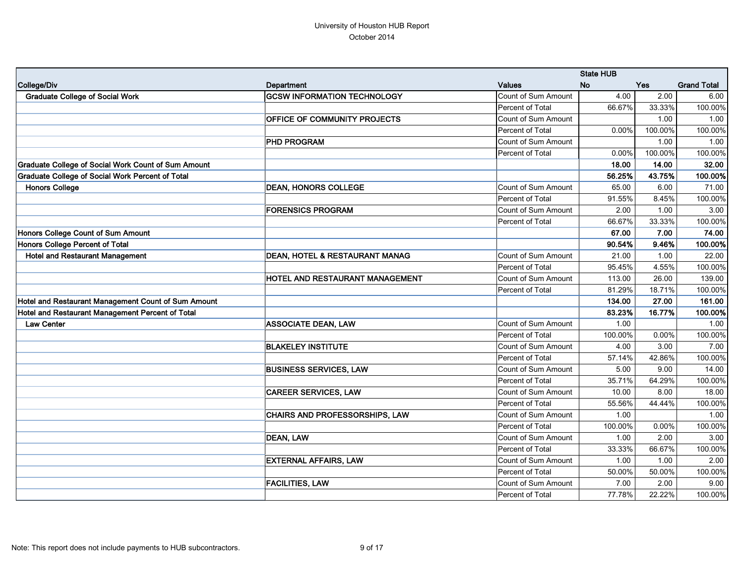|                                                     |                                       |                            | <b>State HUB</b> |         |                    |
|-----------------------------------------------------|---------------------------------------|----------------------------|------------------|---------|--------------------|
| College/Div                                         | Department                            | <b>Values</b>              | <b>No</b>        | Yes     | <b>Grand Total</b> |
| <b>Graduate College of Social Work</b>              | <b>GCSW INFORMATION TECHNOLOGY</b>    | <b>Count of Sum Amount</b> | 4.00             | 2.00    | 6.00               |
|                                                     |                                       | Percent of Total           | 66.67%           | 33.33%  | 100.00%            |
|                                                     | OFFICE OF COMMUNITY PROJECTS          | <b>Count of Sum Amount</b> |                  | 1.00    | 1.00               |
|                                                     |                                       | Percent of Total           | 0.00%            | 100.00% | 100.00%            |
|                                                     | <b>PHD PROGRAM</b>                    | Count of Sum Amount        |                  | 1.00    | 1.00               |
|                                                     |                                       | Percent of Total           | 0.00%            | 100.00% | 100.00%            |
| Graduate College of Social Work Count of Sum Amount |                                       |                            | 18.00            | 14.00   | 32.00              |
| Graduate College of Social Work Percent of Total    |                                       |                            | 56.25%           | 43.75%  | 100.00%            |
| <b>Honors College</b>                               | <b>DEAN, HONORS COLLEGE</b>           | Count of Sum Amount        | 65.00            | 6.00    | 71.00              |
|                                                     |                                       | Percent of Total           | 91.55%           | 8.45%   | 100.00%            |
|                                                     | <b>FORENSICS PROGRAM</b>              | Count of Sum Amount        | 2.00             | 1.00    | 3.00               |
|                                                     |                                       | Percent of Total           | 66.67%           | 33.33%  | 100.00%            |
| Honors College Count of Sum Amount                  |                                       |                            | 67.00            | 7.00    | 74.00              |
| Honors College Percent of Total                     |                                       |                            | 90.54%           | 9.46%   | 100.00%            |
| <b>Hotel and Restaurant Management</b>              | DEAN, HOTEL & RESTAURANT MANAG        | Count of Sum Amount        | 21.00            | 1.00    | 22.00              |
|                                                     |                                       | Percent of Total           | 95.45%           | 4.55%   | 100.00%            |
|                                                     | HOTEL AND RESTAURANT MANAGEMENT       | <b>Count of Sum Amount</b> | 113.00           | 26.00   | 139.00             |
|                                                     |                                       | Percent of Total           | 81.29%           | 18.71%  | 100.00%            |
| Hotel and Restaurant Management Count of Sum Amount |                                       |                            | 134.00           | 27.00   | 161.00             |
| Hotel and Restaurant Management Percent of Total    |                                       |                            | 83.23%           | 16.77%  | 100.00%            |
| <b>Law Center</b>                                   | <b>ASSOCIATE DEAN, LAW</b>            | Count of Sum Amount        | 1.00             |         | 1.00               |
|                                                     |                                       | Percent of Total           | 100.00%          | 0.00%   | 100.00%            |
|                                                     | <b>BLAKELEY INSTITUTE</b>             | Count of Sum Amount        | 4.00             | 3.00    | 7.00               |
|                                                     |                                       | Percent of Total           | 57.14%           | 42.86%  | 100.00%            |
|                                                     | <b>BUSINESS SERVICES, LAW</b>         | Count of Sum Amount        | 5.00             | 9.00    | 14.00              |
|                                                     |                                       | Percent of Total           | 35.71%           | 64.29%  | 100.00%            |
|                                                     | <b>CAREER SERVICES, LAW</b>           | Count of Sum Amount        | 10.00            | 8.00    | 18.00              |
|                                                     |                                       | Percent of Total           | 55.56%           | 44.44%  | 100.00%            |
|                                                     | <b>CHAIRS AND PROFESSORSHIPS, LAW</b> | Count of Sum Amount        | 1.00             |         | 1.00               |
|                                                     |                                       | Percent of Total           | 100.00%          | 0.00%   | 100.00%            |
|                                                     | DEAN, LAW                             | Count of Sum Amount        | 1.00             | 2.00    | 3.00               |
|                                                     |                                       | Percent of Total           | 33.33%           | 66.67%  | 100.00%            |
|                                                     | <b>EXTERNAL AFFAIRS, LAW</b>          | Count of Sum Amount        | 1.00             | 1.00    | 2.00               |
|                                                     |                                       | Percent of Total           | 50.00%           | 50.00%  | 100.00%            |
|                                                     | <b>FACILITIES, LAW</b>                | Count of Sum Amount        | 7.00             | 2.00    | 9.00               |
|                                                     |                                       | Percent of Total           | 77.78%           | 22.22%  | 100.00%            |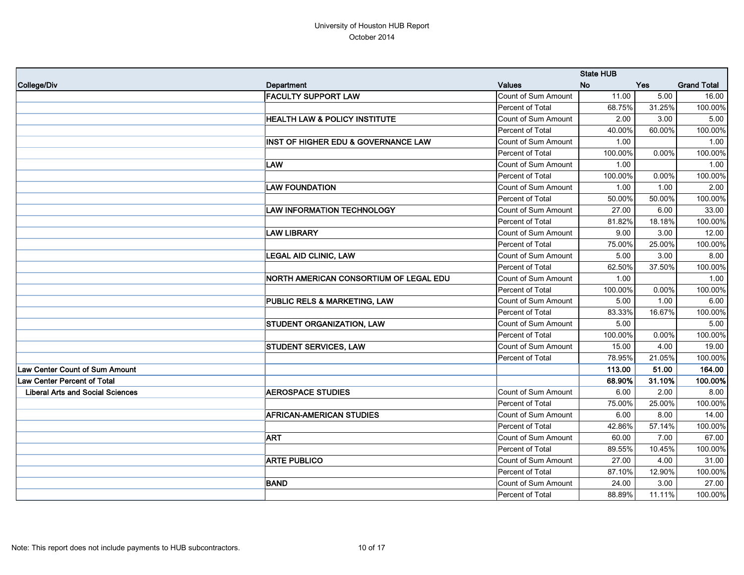|                                         |                                          | <b>State HUB</b>           |           |            |                    |
|-----------------------------------------|------------------------------------------|----------------------------|-----------|------------|--------------------|
| College/Div                             | Department                               | <b>Values</b>              | <b>No</b> | <b>Yes</b> | <b>Grand Total</b> |
|                                         | <b>FACULTY SUPPORT LAW</b>               | Count of Sum Amount        | 11.00     | 5.00       | 16.00              |
|                                         |                                          | Percent of Total           | 68.75%    | 31.25%     | 100.00%            |
|                                         | <b>HEALTH LAW &amp; POLICY INSTITUTE</b> | Count of Sum Amount        | 2.00      | 3.00       | 5.00               |
|                                         |                                          | Percent of Total           | 40.00%    | 60.00%     | 100.00%            |
|                                         | INST OF HIGHER EDU & GOVERNANCE LAW      | Count of Sum Amount        | 1.00      |            | 1.00               |
|                                         |                                          | Percent of Total           | 100.00%   | 0.00%      | 100.00%            |
|                                         | <b>LAW</b>                               | Count of Sum Amount        | 1.00      |            | 1.00               |
|                                         |                                          | Percent of Total           | 100.00%   | 0.00%      | 100.00%            |
|                                         | <b>LAW FOUNDATION</b>                    | Count of Sum Amount        | 1.00      | 1.00       | 2.00               |
|                                         |                                          | Percent of Total           | 50.00%    | 50.00%     | 100.00%            |
|                                         | <b>LAW INFORMATION TECHNOLOGY</b>        | <b>Count of Sum Amount</b> | 27.00     | 6.00       | 33.00              |
|                                         |                                          | Percent of Total           | 81.82%    | 18.18%     | 100.00%            |
|                                         | <b>LAW LIBRARY</b>                       | Count of Sum Amount        | 9.00      | 3.00       | 12.00              |
|                                         |                                          | Percent of Total           | 75.00%    | 25.00%     | 100.00%            |
|                                         | <b>LEGAL AID CLINIC, LAW</b>             | Count of Sum Amount        | 5.00      | 3.00       | 8.00               |
|                                         |                                          | Percent of Total           | 62.50%    | 37.50%     | 100.00%            |
|                                         | NORTH AMERICAN CONSORTIUM OF LEGAL EDU   | <b>Count of Sum Amount</b> | 1.00      |            | 1.00               |
|                                         |                                          | Percent of Total           | 100.00%   | 0.00%      | 100.00%            |
|                                         | PUBLIC RELS & MARKETING, LAW             | Count of Sum Amount        | 5.00      | 1.00       | 6.00               |
|                                         |                                          | Percent of Total           | 83.33%    | 16.67%     | 100.00%            |
|                                         | STUDENT ORGANIZATION, LAW                | Count of Sum Amount        | 5.00      |            | 5.00               |
|                                         |                                          | Percent of Total           | 100.00%   | 0.00%      | 100.00%            |
|                                         | STUDENT SERVICES, LAW                    | Count of Sum Amount        | 15.00     | 4.00       | 19.00              |
|                                         |                                          | Percent of Total           | 78.95%    | 21.05%     | 100.00%            |
| <b>Law Center Count of Sum Amount</b>   |                                          |                            | 113.00    | 51.00      | 164.00             |
| Law Center Percent of Total             |                                          |                            | 68.90%    | 31.10%     | 100.00%            |
| <b>Liberal Arts and Social Sciences</b> | <b>AEROSPACE STUDIES</b>                 | Count of Sum Amount        | 6.00      | 2.00       | 8.00               |
|                                         |                                          | Percent of Total           | 75.00%    | 25.00%     | 100.00%            |
|                                         | <b>AFRICAN-AMERICAN STUDIES</b>          | Count of Sum Amount        | 6.00      | 8.00       | 14.00              |
|                                         |                                          | Percent of Total           | 42.86%    | 57.14%     | 100.00%            |
|                                         | <b>ART</b>                               | Count of Sum Amount        | 60.00     | 7.00       | 67.00              |
|                                         |                                          | Percent of Total           | 89.55%    | 10.45%     | 100.00%            |
|                                         | <b>ARTE PUBLICO</b>                      | Count of Sum Amount        | 27.00     | 4.00       | 31.00              |
|                                         |                                          | Percent of Total           | 87.10%    | 12.90%     | 100.00%            |
|                                         | <b>BAND</b>                              | Count of Sum Amount        | 24.00     | 3.00       | 27.00              |
|                                         |                                          | Percent of Total           | 88.89%    | $11.11\%$  | 100.00%            |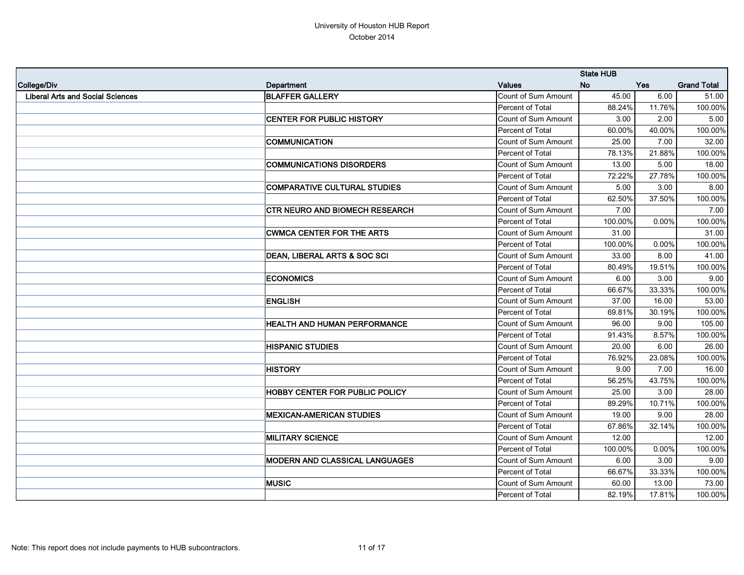|                                         |                                         |                            | <b>State HUB</b> |            |                    |  |
|-----------------------------------------|-----------------------------------------|----------------------------|------------------|------------|--------------------|--|
| College/Div                             | Department                              | <b>Values</b>              | <b>No</b>        | <b>Yes</b> | <b>Grand Total</b> |  |
| <b>Liberal Arts and Social Sciences</b> | <b>BLAFFER GALLERY</b>                  | <b>Count of Sum Amount</b> | 45.00            | 6.00       | 51.00              |  |
|                                         |                                         | Percent of Total           | 88.24%           | 11.76%     | 100.00%            |  |
|                                         | <b>CENTER FOR PUBLIC HISTORY</b>        | <b>Count of Sum Amount</b> | 3.00             | 2.00       | 5.00               |  |
|                                         |                                         | Percent of Total           | 60.00%           | 40.00%     | 100.00%            |  |
|                                         | <b>COMMUNICATION</b>                    | Count of Sum Amount        | 25.00            | 7.00       | 32.00              |  |
|                                         |                                         | Percent of Total           | 78.13%           | 21.88%     | 100.00%            |  |
|                                         | <b>COMMUNICATIONS DISORDERS</b>         | Count of Sum Amount        | 13.00            | 5.00       | 18.00              |  |
|                                         |                                         | Percent of Total           | 72.22%           | 27.78%     | 100.00%            |  |
|                                         | <b>COMPARATIVE CULTURAL STUDIES</b>     | Count of Sum Amount        | 5.00             | 3.00       | 8.00               |  |
|                                         |                                         | Percent of Total           | 62.50%           | 37.50%     | 100.00%            |  |
|                                         | CTR NEURO AND BIOMECH RESEARCH          | Count of Sum Amount        | 7.00             |            | 7.00               |  |
|                                         |                                         | Percent of Total           | 100.00%          | 0.00%      | 100.00%            |  |
|                                         | <b>CWMCA CENTER FOR THE ARTS</b>        | Count of Sum Amount        | 31.00            |            | 31.00              |  |
|                                         |                                         | Percent of Total           | 100.00%          | 0.00%      | 100.00%            |  |
|                                         | <b>DEAN, LIBERAL ARTS &amp; SOC SCI</b> | <b>Count of Sum Amount</b> | 33.00            | 8.00       | 41.00              |  |
|                                         |                                         | Percent of Total           | 80.49%           | 19.51%     | 100.00%            |  |
|                                         | <b>ECONOMICS</b>                        | Count of Sum Amount        | 6.00             | 3.00       | 9.00               |  |
|                                         |                                         | Percent of Total           | 66.67%           | 33.33%     | 100.00%            |  |
|                                         | <b>ENGLISH</b>                          | Count of Sum Amount        | 37.00            | 16.00      | 53.00              |  |
|                                         |                                         | Percent of Total           | 69.81%           | 30.19%     | 100.00%            |  |
|                                         | <b>HEALTH AND HUMAN PERFORMANCE</b>     | <b>Count of Sum Amount</b> | 96.00            | 9.00       | 105.00             |  |
|                                         |                                         | Percent of Total           | 91.43%           | 8.57%      | 100.00%            |  |
|                                         | <b>HISPANIC STUDIES</b>                 | Count of Sum Amount        | 20.00            | 6.00       | 26.00              |  |
|                                         |                                         | Percent of Total           | 76.92%           | 23.08%     | 100.00%            |  |
|                                         | <b>HISTORY</b>                          | Count of Sum Amount        | 9.00             | 7.00       | 16.00              |  |
|                                         |                                         | Percent of Total           | 56.25%           | 43.75%     | 100.00%            |  |
|                                         | HOBBY CENTER FOR PUBLIC POLICY          | Count of Sum Amount        | 25.00            | 3.00       | 28.00              |  |
|                                         |                                         | Percent of Total           | 89.29%           | 10.71%     | 100.00%            |  |
|                                         | <b>MEXICAN-AMERICAN STUDIES</b>         | Count of Sum Amount        | 19.00            | 9.00       | 28.00              |  |
|                                         |                                         | Percent of Total           | 67.86%           | 32.14%     | 100.00%            |  |
|                                         | <b>MILITARY SCIENCE</b>                 | Count of Sum Amount        | 12.00            |            | 12.00              |  |
|                                         |                                         | Percent of Total           | 100.00%          | 0.00%      | 100.00%            |  |
|                                         | <b>MODERN AND CLASSICAL LANGUAGES</b>   | Count of Sum Amount        | 6.00             | 3.00       | 9.00               |  |
|                                         |                                         | Percent of Total           | 66.67%           | 33.33%     | 100.00%            |  |
|                                         | <b>MUSIC</b>                            | Count of Sum Amount        | 60.00            | 13.00      | 73.00              |  |
|                                         |                                         | Percent of Total           | 82.19%           | 17.81%     | 100.00%            |  |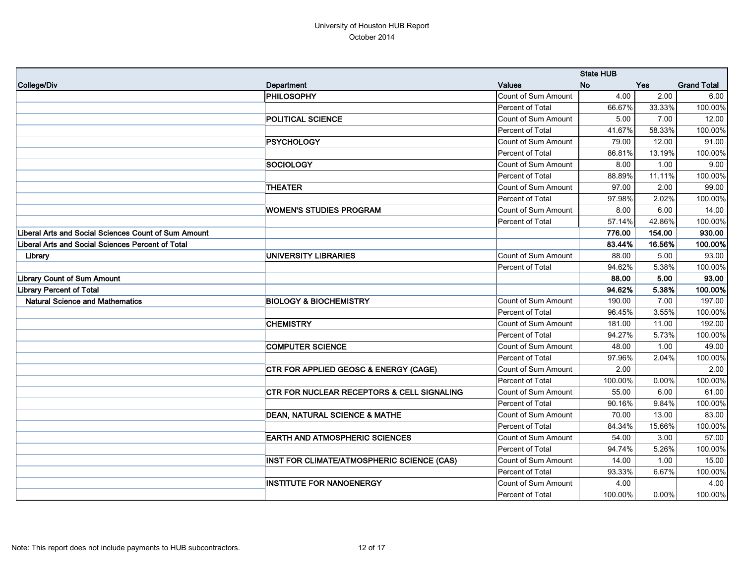|                                                          |                                                       |                            | <b>State HUB</b> |          |                    |
|----------------------------------------------------------|-------------------------------------------------------|----------------------------|------------------|----------|--------------------|
| College/Div                                              | <b>Department</b>                                     | <b>Values</b>              | <b>No</b>        | Yes      | <b>Grand Total</b> |
|                                                          | <b>PHILOSOPHY</b>                                     | Count of Sum Amount        | 4.00             | 2.00     | 6.00               |
|                                                          |                                                       | Percent of Total           | 66.67%           | 33.33%   | 100.00%            |
|                                                          | POLITICAL SCIENCE                                     | <b>Count of Sum Amount</b> | 5.00             | 7.00     | 12.00              |
|                                                          |                                                       | Percent of Total           | 41.67%           | 58.33%   | 100.00%            |
|                                                          | <b>PSYCHOLOGY</b>                                     | Count of Sum Amount        | 79.00            | 12.00    | 91.00              |
|                                                          |                                                       | Percent of Total           | 86.81%           | 13.19%   | 100.00%            |
|                                                          | <b>SOCIOLOGY</b>                                      | <b>Count of Sum Amount</b> | 8.00             | 1.00     | 9.00               |
|                                                          |                                                       | Percent of Total           | 88.89%           | 11.11%   | 100.00%            |
|                                                          | <b>THEATER</b>                                        | <b>Count of Sum Amount</b> | 97.00            | 2.00     | 99.00              |
|                                                          |                                                       | Percent of Total           | 97.98%           | 2.02%    | 100.00%            |
|                                                          | <b>WOMEN'S STUDIES PROGRAM</b>                        | <b>Count of Sum Amount</b> | 8.00             | 6.00     | 14.00              |
|                                                          |                                                       | Percent of Total           | 57.14%           | 42.86%   | 100.00%            |
| Liberal Arts and Social Sciences Count of Sum Amount     |                                                       |                            | 776.00           | 154.00   | 930.00             |
| <b>Liberal Arts and Social Sciences Percent of Total</b> |                                                       |                            | 83.44%           | 16.56%   | 100.00%            |
| Library                                                  | <b>UNIVERSITY LIBRARIES</b>                           | Count of Sum Amount        | 88.00            | 5.00     | 93.00              |
|                                                          |                                                       | Percent of Total           | 94.62%           | 5.38%    | 100.00%            |
| <b>Library Count of Sum Amount</b>                       |                                                       |                            | 88.00            | 5.00     | 93.00              |
| <b>Library Percent of Total</b>                          |                                                       |                            | 94.62%           | 5.38%    | 100.00%            |
| <b>Natural Science and Mathematics</b>                   | <b>BIOLOGY &amp; BIOCHEMISTRY</b>                     | Count of Sum Amount        | 190.00           | 7.00     | 197.00             |
|                                                          |                                                       | Percent of Total           | 96.45%           | 3.55%    | 100.00%            |
|                                                          | <b>CHEMISTRY</b>                                      | Count of Sum Amount        | 181.00           | 11.00    | 192.00             |
|                                                          |                                                       | Percent of Total           | 94.27%           | 5.73%    | 100.00%            |
|                                                          | <b>COMPUTER SCIENCE</b>                               | Count of Sum Amount        | 48.00            | 1.00     | 49.00              |
|                                                          |                                                       | Percent of Total           | 97.96%           | 2.04%    | 100.00%            |
|                                                          | CTR FOR APPLIED GEOSC & ENERGY (CAGE)                 | Count of Sum Amount        | 2.00             |          | 2.00               |
|                                                          |                                                       | Percent of Total           | 100.00%          | 0.00%    | 100.00%            |
|                                                          | <b>CTR FOR NUCLEAR RECEPTORS &amp; CELL SIGNALING</b> | Count of Sum Amount        | 55.00            | 6.00     | 61.00              |
|                                                          |                                                       | Percent of Total           | 90.16%           | 9.84%    | 100.00%            |
|                                                          | <b>DEAN, NATURAL SCIENCE &amp; MATHE</b>              | Count of Sum Amount        | 70.00            | 13.00    | 83.00              |
|                                                          |                                                       | Percent of Total           | 84.34%           | 15.66%   | 100.00%            |
|                                                          | <b>EARTH AND ATMOSPHERIC SCIENCES</b>                 | Count of Sum Amount        | 54.00            | 3.00     | 57.00              |
|                                                          |                                                       | Percent of Total           | 94.74%           | 5.26%    | 100.00%            |
|                                                          | INST FOR CLIMATE/ATMOSPHERIC SCIENCE (CAS)            | Count of Sum Amount        | 14.00            | 1.00     | 15.00              |
|                                                          |                                                       | Percent of Total           | 93.33%           | 6.67%    | 100.00%            |
|                                                          | <b>INSTITUTE FOR NANOENERGY</b>                       | Count of Sum Amount        | 4.00             |          | 4.00               |
|                                                          |                                                       | Percent of Total           | 100.00%          | $0.00\%$ | 100.00%            |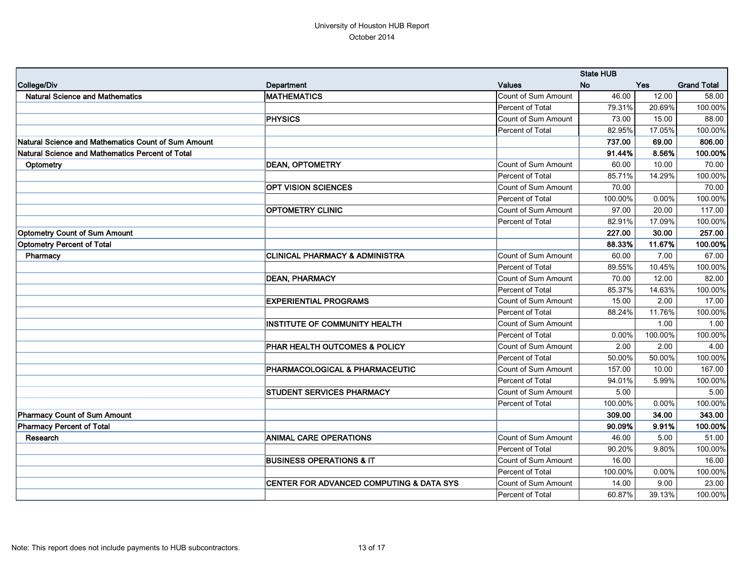|                                                     |                                                     | <b>State HUB</b>           |           |          |                    |
|-----------------------------------------------------|-----------------------------------------------------|----------------------------|-----------|----------|--------------------|
| College/Div                                         | Department                                          | <b>Values</b>              | <b>No</b> | Yes      | <b>Grand Total</b> |
| <b>Natural Science and Mathematics</b>              | <b>MATHEMATICS</b>                                  | Count of Sum Amount        | 46.00     | 12.00    | 58.00              |
|                                                     |                                                     | Percent of Total           | 79.31%    | 20.69%   | 100.00%            |
|                                                     | <b>PHYSICS</b>                                      | Count of Sum Amount        | 73.00     | 15.00    | 88.00              |
|                                                     |                                                     | Percent of Total           | 82.95%    | 17.05%   | 100.00%            |
| Natural Science and Mathematics Count of Sum Amount |                                                     |                            | 737.00    | 69.00    | 806.00             |
| Natural Science and Mathematics Percent of Total    |                                                     |                            | 91.44%    | 8.56%    | 100.00%            |
| Optometry                                           | <b>DEAN, OPTOMETRY</b>                              | Count of Sum Amount        | 60.00     | 10.00    | 70.00              |
|                                                     |                                                     | Percent of Total           | 85.71%    | 14.29%   | 100.00%            |
|                                                     | <b>OPT VISION SCIENCES</b>                          | Count of Sum Amount        | 70.00     |          | 70.00              |
|                                                     |                                                     | Percent of Total           | 100.00%   | 0.00%    | 100.00%            |
|                                                     | <b>OPTOMETRY CLINIC</b>                             | <b>Count of Sum Amount</b> | 97.00     | 20.00    | 117.00             |
|                                                     |                                                     | Percent of Total           | 82.91%    | 17.09%   | 100.00%            |
| <b>Optometry Count of Sum Amount</b>                |                                                     |                            | 227.00    | 30.00    | 257.00             |
| <b>Optometry Percent of Total</b>                   |                                                     |                            | 88.33%    | 11.67%   | 100.00%            |
| Pharmacy                                            | <b>CLINICAL PHARMACY &amp; ADMINISTRA</b>           | Count of Sum Amount        | 60.00     | 7.00     | 67.00              |
|                                                     |                                                     | Percent of Total           | 89.55%    | 10.45%   | 100.00%            |
|                                                     | <b>DEAN, PHARMACY</b>                               | Count of Sum Amount        | 70.00     | 12.00    | 82.00              |
|                                                     |                                                     | Percent of Total           | 85.37%    | 14.63%   | 100.00%            |
|                                                     | <b>EXPERIENTIAL PROGRAMS</b>                        | Count of Sum Amount        | 15.00     | 2.00     | 17.00              |
|                                                     |                                                     | Percent of Total           | 88.24%    | 11.76%   | 100.00%            |
|                                                     | <b>INSTITUTE OF COMMUNITY HEALTH</b>                | Count of Sum Amount        |           | 1.00     | 1.00               |
|                                                     |                                                     | Percent of Total           | 0.00%     | 100.00%  | 100.00%            |
|                                                     | PHAR HEALTH OUTCOMES & POLICY                       | Count of Sum Amount        | 2.00      | 2.00     | 4.00               |
|                                                     |                                                     | Percent of Total           | 50.00%    | 50.00%   | 100.00%            |
|                                                     | PHARMACOLOGICAL & PHARMACEUTIC                      | Count of Sum Amount        | 157.00    | 10.00    | 167.00             |
|                                                     |                                                     | Percent of Total           | 94.01%    | 5.99%    | 100.00%            |
|                                                     | <b>STUDENT SERVICES PHARMACY</b>                    | Count of Sum Amount        | 5.00      |          | 5.00               |
|                                                     |                                                     | Percent of Total           | 100.00%   | $0.00\%$ | 100.00%            |
| <b>Pharmacy Count of Sum Amount</b>                 |                                                     |                            | 309.00    | 34.00    | 343.00             |
| <b>Pharmacy Percent of Total</b>                    |                                                     |                            | 90.09%    | 9.91%    | 100.00%            |
| Research                                            | <b>ANIMAL CARE OPERATIONS</b>                       | Count of Sum Amount        | 46.00     | 5.00     | 51.00              |
|                                                     |                                                     | Percent of Total           | 90.20%    | 9.80%    | 100.00%            |
|                                                     | <b>BUSINESS OPERATIONS &amp; IT</b>                 | Count of Sum Amount        | 16.00     |          | 16.00              |
|                                                     |                                                     | Percent of Total           | 100.00%   | $0.00\%$ | 100.00%            |
|                                                     | <b>CENTER FOR ADVANCED COMPUTING &amp; DATA SYS</b> | Count of Sum Amount        | 14.00     | 9.00     | 23.00              |
|                                                     |                                                     | Percent of Total           | 60.87%    | 39.13%   | 100.00%            |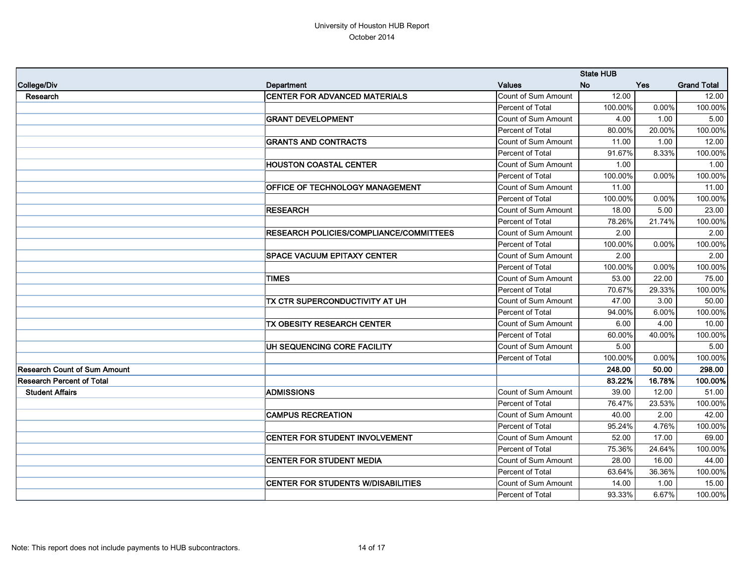|                                     |                                           | <b>State HUB</b>           |           |            |                    |
|-------------------------------------|-------------------------------------------|----------------------------|-----------|------------|--------------------|
| College/Div                         | Department                                | <b>Values</b>              | <b>No</b> | <b>Yes</b> | <b>Grand Total</b> |
| Research                            | <b>CENTER FOR ADVANCED MATERIALS</b>      | <b>Count of Sum Amount</b> | 12.00     |            | 12.00              |
|                                     |                                           | Percent of Total           | 100.00%   | 0.00%      | 100.00%            |
|                                     | <b>GRANT DEVELOPMENT</b>                  | <b>Count of Sum Amount</b> | 4.00      | 1.00       | 5.00               |
|                                     |                                           | Percent of Total           | 80.00%    | 20.00%     | 100.00%            |
|                                     | <b>GRANTS AND CONTRACTS</b>               | Count of Sum Amount        | 11.00     | 1.00       | 12.00              |
|                                     |                                           | Percent of Total           | 91.67%    | 8.33%      | 100.00%            |
|                                     | <b>HOUSTON COASTAL CENTER</b>             | Count of Sum Amount        | 1.00      |            | 1.00               |
|                                     |                                           | Percent of Total           | 100.00%   | 0.00%      | 100.00%            |
|                                     | OFFICE OF TECHNOLOGY MANAGEMENT           | Count of Sum Amount        | 11.00     |            | 11.00              |
|                                     |                                           | Percent of Total           | 100.00%   | 0.00%      | 100.00%            |
|                                     | <b>RESEARCH</b>                           | Count of Sum Amount        | 18.00     | 5.00       | 23.00              |
|                                     |                                           | Percent of Total           | 78.26%    | 21.74%     | 100.00%            |
|                                     | RESEARCH POLICIES/COMPLIANCE/COMMITTEES   | Count of Sum Amount        | 2.00      |            | 2.00               |
|                                     |                                           | Percent of Total           | 100.00%   | 0.00%      | 100.00%            |
|                                     | <b>SPACE VACUUM EPITAXY CENTER</b>        | Count of Sum Amount        | 2.00      |            | 2.00               |
|                                     |                                           | Percent of Total           | 100.00%   | 0.00%      | 100.00%            |
|                                     | <b>TIMES</b>                              | Count of Sum Amount        | 53.00     | 22.00      | 75.00              |
|                                     |                                           | Percent of Total           | 70.67%    | 29.33%     | 100.00%            |
|                                     | TX CTR SUPERCONDUCTIVITY AT UH            | <b>Count of Sum Amount</b> | 47.00     | 3.00       | 50.00              |
|                                     |                                           | Percent of Total           | 94.00%    | 6.00%      | 100.00%            |
|                                     | TX OBESITY RESEARCH CENTER                | Count of Sum Amount        | 6.00      | 4.00       | 10.00              |
|                                     |                                           | Percent of Total           | 60.00%    | 40.00%     | 100.00%            |
|                                     | UH SEQUENCING CORE FACILITY               | Count of Sum Amount        | 5.00      |            | 5.00               |
|                                     |                                           | Percent of Total           | 100.00%   | 0.00%      | 100.00%            |
| <b>Research Count of Sum Amount</b> |                                           |                            | 248.00    | 50.00      | 298.00             |
| <b>Research Percent of Total</b>    |                                           |                            | 83.22%    | 16.78%     | 100.00%            |
| <b>Student Affairs</b>              | <b>ADMISSIONS</b>                         | Count of Sum Amount        | 39.00     | 12.00      | 51.00              |
|                                     |                                           | Percent of Total           | 76.47%    | 23.53%     | 100.00%            |
|                                     | <b>CAMPUS RECREATION</b>                  | Count of Sum Amount        | 40.00     | 2.00       | 42.00              |
|                                     |                                           | Percent of Total           | 95.24%    | 4.76%      | 100.00%            |
|                                     | CENTER FOR STUDENT INVOLVEMENT            | Count of Sum Amount        | 52.00     | 17.00      | 69.00              |
|                                     |                                           | Percent of Total           | 75.36%    | 24.64%     | 100.00%            |
|                                     | <b>CENTER FOR STUDENT MEDIA</b>           | Count of Sum Amount        | 28.00     | 16.00      | 44.00              |
|                                     |                                           | Percent of Total           | 63.64%    | 36.36%     | 100.00%            |
|                                     | <b>CENTER FOR STUDENTS W/DISABILITIES</b> | Count of Sum Amount        | 14.00     | 1.00       | 15.00              |
|                                     |                                           | Percent of Total           | 93.33%    | 6.67%      | 100.00%            |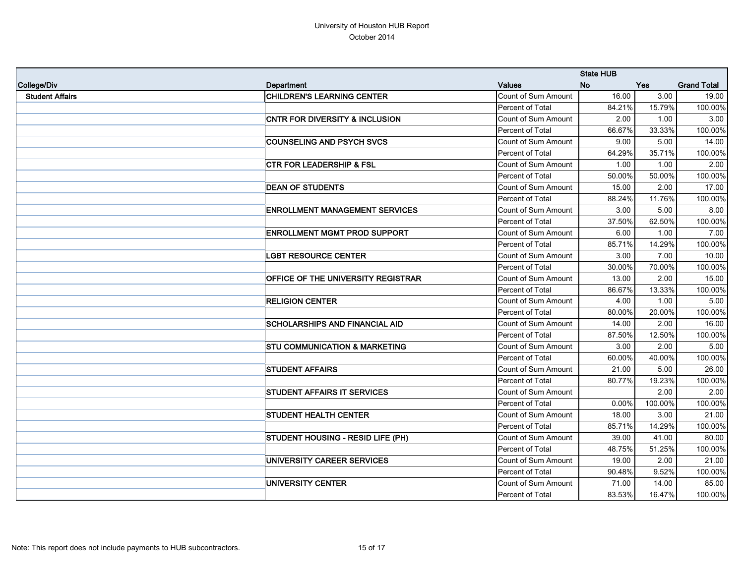|                        |                                           | <b>State HUB</b>           |           |            |                    |
|------------------------|-------------------------------------------|----------------------------|-----------|------------|--------------------|
| College/Div            | Department                                | <b>Values</b>              | <b>No</b> | <b>Yes</b> | <b>Grand Total</b> |
| <b>Student Affairs</b> | <b>CHILDREN'S LEARNING CENTER</b>         | Count of Sum Amount        | 16.00     | 3.00       | 19.00              |
|                        |                                           | Percent of Total           | 84.21%    | 15.79%     | 100.00%            |
|                        | <b>CNTR FOR DIVERSITY &amp; INCLUSION</b> | <b>Count of Sum Amount</b> | 2.00      | 1.00       | 3.00               |
|                        |                                           | Percent of Total           | 66.67%    | 33.33%     | 100.00%            |
|                        | <b>COUNSELING AND PSYCH SVCS</b>          | Count of Sum Amount        | 9.00      | 5.00       | 14.00              |
|                        |                                           | Percent of Total           | 64.29%    | 35.71%     | 100.00%            |
|                        | <b>CTR FOR LEADERSHIP &amp; FSL</b>       | Count of Sum Amount        | 1.00      | 1.00       | 2.00               |
|                        |                                           | Percent of Total           | 50.00%    | 50.00%     | 100.00%            |
|                        | <b>DEAN OF STUDENTS</b>                   | Count of Sum Amount        | 15.00     | 2.00       | 17.00              |
|                        |                                           | Percent of Total           | 88.24%    | 11.76%     | 100.00%            |
|                        | <b>ENROLLMENT MANAGEMENT SERVICES</b>     | <b>Count of Sum Amount</b> | 3.00      | 5.00       | 8.00               |
|                        |                                           | Percent of Total           | 37.50%    | 62.50%     | 100.00%            |
|                        | <b>ENROLLMENT MGMT PROD SUPPORT</b>       | Count of Sum Amount        | 6.00      | 1.00       | 7.00               |
|                        |                                           | Percent of Total           | 85.71%    | 14.29%     | 100.00%            |
|                        | <b>LGBT RESOURCE CENTER</b>               | Count of Sum Amount        | 3.00      | 7.00       | 10.00              |
|                        |                                           | Percent of Total           | 30.00%    | 70.00%     | 100.00%            |
|                        | OFFICE OF THE UNIVERSITY REGISTRAR        | Count of Sum Amount        | 13.00     | 2.00       | 15.00              |
|                        |                                           | Percent of Total           | 86.67%    | 13.33%     | 100.00%            |
|                        | <b>RELIGION CENTER</b>                    | Count of Sum Amount        | 4.00      | 1.00       | 5.00               |
|                        |                                           | Percent of Total           | 80.00%    | 20.00%     | 100.00%            |
|                        | <b>SCHOLARSHIPS AND FINANCIAL AID</b>     | Count of Sum Amount        | 14.00     | 2.00       | 16.00              |
|                        |                                           | Percent of Total           | 87.50%    | 12.50%     | 100.00%            |
|                        | <b>STU COMMUNICATION &amp; MARKETING</b>  | Count of Sum Amount        | 3.00      | 2.00       | 5.00               |
|                        |                                           | Percent of Total           | 60.00%    | 40.00%     | 100.00%            |
|                        | <b>STUDENT AFFAIRS</b>                    | Count of Sum Amount        | 21.00     | 5.00       | 26.00              |
|                        |                                           | Percent of Total           | 80.77%    | 19.23%     | 100.00%            |
|                        | <b>STUDENT AFFAIRS IT SERVICES</b>        | Count of Sum Amount        |           | 2.00       | 2.00               |
|                        |                                           | Percent of Total           | $0.00\%$  | 100.00%    | 100.00%            |
|                        | <b>STUDENT HEALTH CENTER</b>              | Count of Sum Amount        | 18.00     | 3.00       | 21.00              |
|                        |                                           | Percent of Total           | 85.71%    | 14.29%     | 100.00%            |
|                        | <b>STUDENT HOUSING - RESID LIFE (PH)</b>  | Count of Sum Amount        | 39.00     | 41.00      | 80.00              |
|                        |                                           | Percent of Total           | 48.75%    | 51.25%     | 100.00%            |
|                        | UNIVERSITY CAREER SERVICES                | Count of Sum Amount        | 19.00     | 2.00       | 21.00              |
|                        |                                           | Percent of Total           | 90.48%    | 9.52%      | 100.00%            |
|                        | UNIVERSITY CENTER                         | Count of Sum Amount        | 71.00     | 14.00      | 85.00              |
|                        |                                           | Percent of Total           | 83.53%    | 16.47%     | 100.00%            |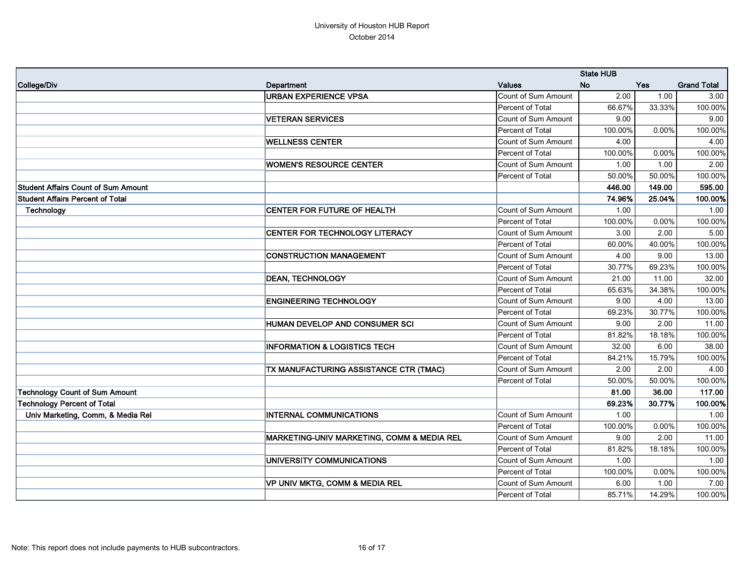|                                            |                                            |                     | <b>State HUB</b> |            |                    |  |
|--------------------------------------------|--------------------------------------------|---------------------|------------------|------------|--------------------|--|
| College/Div                                | Department                                 | <b>Values</b>       | <b>No</b>        | <b>Yes</b> | <b>Grand Total</b> |  |
|                                            | <b>URBAN EXPERIENCE VPSA</b>               | Count of Sum Amount | 2.00             | 1.00       | 3.00               |  |
|                                            |                                            | Percent of Total    | 66.67%           | 33.33%     | 100.00%            |  |
|                                            | <b>VETERAN SERVICES</b>                    | Count of Sum Amount | 9.00             |            | 9.00               |  |
|                                            |                                            | Percent of Total    | 100.00%          | 0.00%      | 100.00%            |  |
|                                            | <b>WELLNESS CENTER</b>                     | Count of Sum Amount | 4.00             |            | 4.00               |  |
|                                            |                                            | Percent of Total    | 100.00%          | 0.00%      | 100.00%            |  |
|                                            | <b>WOMEN'S RESOURCE CENTER</b>             | Count of Sum Amount | 1.00             | 1.00       | 2.00               |  |
|                                            |                                            | Percent of Total    | 50.00%           | 50.00%     | 100.00%            |  |
| <b>Student Affairs Count of Sum Amount</b> |                                            |                     | 446.00           | 149.00     | 595.00             |  |
| <b>Student Affairs Percent of Total</b>    |                                            |                     | 74.96%           | 25.04%     | 100.00%            |  |
| Technology                                 | <b>CENTER FOR FUTURE OF HEALTH</b>         | Count of Sum Amount | 1.00             |            | 1.00               |  |
|                                            |                                            | Percent of Total    | 100.00%          | 0.00%      | 100.00%            |  |
|                                            | <b>CENTER FOR TECHNOLOGY LITERACY</b>      | Count of Sum Amount | 3.00             | 2.00       | 5.00               |  |
|                                            |                                            | Percent of Total    | 60.00%           | 40.00%     | 100.00%            |  |
|                                            | <b>CONSTRUCTION MANAGEMENT</b>             | Count of Sum Amount | 4.00             | 9.00       | 13.00              |  |
|                                            |                                            | Percent of Total    | 30.77%           | 69.23%     | 100.00%            |  |
|                                            | <b>DEAN, TECHNOLOGY</b>                    | Count of Sum Amount | 21.00            | 11.00      | 32.00              |  |
|                                            |                                            | Percent of Total    | 65.63%           | 34.38%     | 100.00%            |  |
|                                            | <b>ENGINEERING TECHNOLOGY</b>              | Count of Sum Amount | 9.00             | 4.00       | 13.00              |  |
|                                            |                                            | Percent of Total    | 69.23%           | 30.77%     | 100.00%            |  |
|                                            | HUMAN DEVELOP AND CONSUMER SCI             | Count of Sum Amount | 9.00             | 2.00       | 11.00              |  |
|                                            |                                            | Percent of Total    | 81.82%           | 18.18%     | 100.00%            |  |
|                                            | <b>INFORMATION &amp; LOGISTICS TECH</b>    | Count of Sum Amount | 32.00            | 6.00       | 38.00              |  |
|                                            |                                            | Percent of Total    | 84.21%           | 15.79%     | 100.00%            |  |
|                                            | TX MANUFACTURING ASSISTANCE CTR (TMAC)     | Count of Sum Amount | 2.00             | 2.00       | 4.00               |  |
|                                            |                                            | Percent of Total    | 50.00%           | 50.00%     | 100.00%            |  |
| Technology Count of Sum Amount             |                                            |                     | 81.00            | 36.00      | 117.00             |  |
| Technology Percent of Total                |                                            |                     | 69.23%           | 30.77%     | 100.00%            |  |
| Univ Marketing, Comm, & Media Rel          | <b>INTERNAL COMMUNICATIONS</b>             | Count of Sum Amount | 1.00             |            | 1.00               |  |
|                                            |                                            | Percent of Total    | 100.00%          | $0.00\%$   | 100.00%            |  |
|                                            | MARKETING-UNIV MARKETING, COMM & MEDIA REL | Count of Sum Amount | 9.00             | 2.00       | 11.00              |  |
|                                            |                                            | Percent of Total    | 81.82%           | 18.18%     | 100.00%            |  |
|                                            | UNIVERSITY COMMUNICATIONS                  | Count of Sum Amount | 1.00             |            | 1.00               |  |
|                                            |                                            | Percent of Total    | 100.00%          | $0.00\%$   | 100.00%            |  |
|                                            | VP UNIV MKTG, COMM & MEDIA REL             | Count of Sum Amount | 6.00             | 1.00       | 7.00               |  |
|                                            |                                            | Percent of Total    | 85.71%           | 14.29%     | 100.00%            |  |